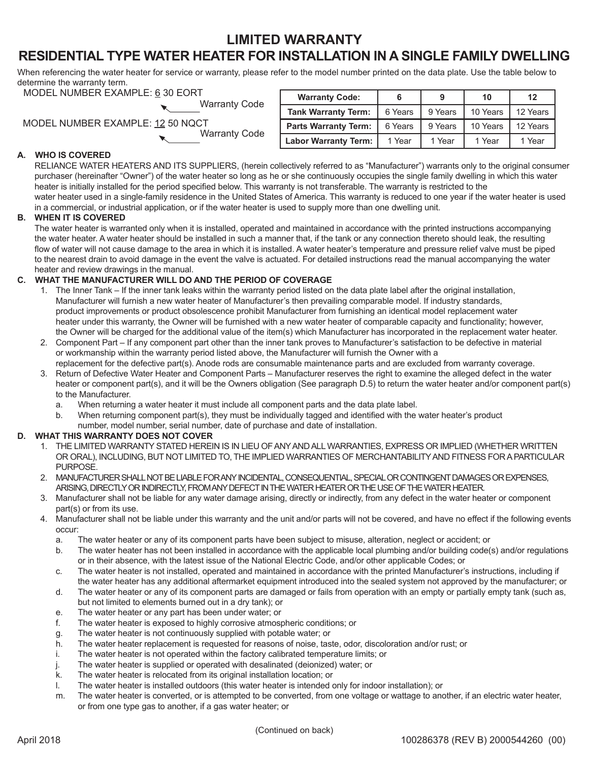## **LIMITED WARRANTY**

# **RESIDENTIAL TYPE WATER HEATER FOR INSTALLATION IN A SINGLE FAMILY DWELLING**

When referencing the water heater for service or warranty, please refer to the model number printed on the data plate. Use the table below to determine the warranty term.

| MODEL NUMBER EXAMPLE: 6 30 EORT  |                      |
|----------------------------------|----------------------|
|                                  | <b>Warranty Code</b> |
| MODEL NUMBER EXAMPLE: 12 50 NQCT |                      |
|                                  | <b>Warranty Code</b> |

| <b>Warranty Code:</b>       |         | 9       | 10       | 12       |
|-----------------------------|---------|---------|----------|----------|
| <b>Tank Warranty Term:</b>  | 6 Years | 9 Years | 10 Years | 12 Years |
| <b>Parts Warranty Term:</b> | 6 Years | 9 Years | 10 Years | 12 Years |
| <b>Labor Warranty Term:</b> | 1 Year  | 1 Year  | 1 Year   | 1 Year   |

### **A. WHO IS COVERED**

RELIANCE WATER HEATERS AND ITS SUPPLIERS, (herein collectively referred to as "Manufacturer") warrants only to the original consumer purchaser (hereinafter "Owner") of the water heater so long as he or she continuously occupies the single family dwelling in which this water heater is initially installed for the period specified below. This warranty is not transferable. The warranty is restricted to the water heater used in a single-family residence in the United States of America. This warranty is reduced to one year if the water heater is used in a commercial, or industrial application, or if the water heater is used to supply more than one dwelling unit.

## **B. WHEN IT IS COVERED**

 The water heater is warranted only when it is installed, operated and maintained in accordance with the printed instructions accompanying the water heater. A water heater should be installed in such a manner that, if the tank or any connection thereto should leak, the resulting flow of water will not cause damage to the area in which it is installed. A water heater's temperature and pressure relief valve must be piped to the nearest drain to avoid damage in the event the valve is actuated. For detailed instructions read the manual accompanying the water heater and review drawings in the manual.

## **C. WHAT THE MANUFACTURER WILL DO AND THE PERIOD OF COVERAGE**

- 1. The Inner Tank If the inner tank leaks within the warranty period listed on the data plate label after the original installation, Manufacturer will furnish a new water heater of Manufacturer's then prevailing comparable model. If industry standards, product improvements or product obsolescence prohibit Manufacturer from furnishing an identical model replacement water heater under this warranty, the Owner will be furnished with a new water heater of comparable capacity and functionality; however, the Owner will be charged for the additional value of the item(s) which Manufacturer has incorporated in the replacement water heater.
- 2. Component Part If any component part other than the inner tank proves to Manufacturer's satisfaction to be defective in material or workmanship within the warranty period listed above, the Manufacturer will furnish the Owner with a replacement for the defective part(s). Anode rods are consumable maintenance parts and are excluded from warranty coverage.
- 3. Return of Defective Water Heater and Component Parts Manufacturer reserves the right to examine the alleged defect in the water heater or component part(s), and it will be the Owners obligation (See paragraph D.5) to return the water heater and/or component part(s) to the Manufacturer.
	- a. When returning a water heater it must include all component parts and the data plate label.
	- b. When returning component part(s), they must be individually tagged and identified with the water heater's product number, model number, serial number, date of purchase and date of installation.

#### **D. WHAT THIS WARRANTY DOES NOT COVER**

- 1. THE LIMITED WARRANTY STATED HEREIN IS IN LIEU OF ANY AND ALL WARRANTIES, EXPRESS OR IMPLIED (WHETHER WRITTEN OR ORAL), INCLUDING, BUT NOT LIMITED TO, THE IMPLIED WARRANTIES OF MERCHANTABILITY AND FITNESS FOR A PARTICULAR PURPOSE.
- 2. MANUFACTURER SHALL NOT BE LIABLE FOR ANY INCIDENTAL, CONSEQUENTIAL, SPECIAL OR CONTINGENT DAMAGES OR EXPENSES, ARISING, DIRECTLY OR INDIRECTLY, FROM ANY DEFECT IN THE WATER HEATER OR THE USE OF THE WATER HEATER.
- 3. Manufacturer shall not be liable for any water damage arising, directly or indirectly, from any defect in the water heater or component part(s) or from its use.
- 4. Manufacturer shall not be liable under this warranty and the unit and/or parts will not be covered, and have no effect if the following events occur:
	- a. The water heater or any of its component parts have been subject to misuse, alteration, neglect or accident; or
	- b. The water heater has not been installed in accordance with the applicable local plumbing and/or building code(s) and/or regulations or in their absence, with the latest issue of the National Electric Code, and/or other applicable Codes; or
	- c. The water heater is not installed, operated and maintained in accordance with the printed Manufacturer's instructions, including if the water heater has any additional aftermarket equipment introduced into the sealed system not approved by the manufacturer; or
	- d. The water heater or any of its component parts are damaged or fails from operation with an empty or partially empty tank (such as, but not limited to elements burned out in a dry tank); or
	- e. The water heater or any part has been under water; or
	- f. The water heater is exposed to highly corrosive atmospheric conditions; or
	- g. The water heater is not continuously supplied with potable water; or
	- h. The water heater replacement is requested for reasons of noise, taste, odor, discoloration and/or rust; or
	- i. The water heater is not operated within the factory calibrated temperature limits; or
	- j. The water heater is supplied or operated with desalinated (deionized) water; or
	- k. The water heater is relocated from its original installation location; or
	- l. The water heater is installed outdoors (this water heater is intended only for indoor installation); or
	- m. The water heater is converted, or is attempted to be converted, from one voltage or wattage to another, if an electric water heater, or from one type gas to another, if a gas water heater; or